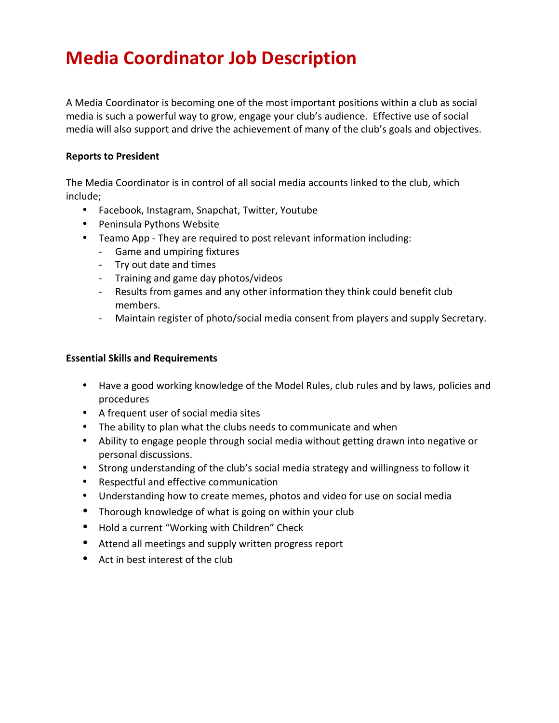## **Media Coordinator Job Description**

A Media Coordinator is becoming one of the most important positions within a club as social media is such a powerful way to grow, engage your club's audience. Effective use of social media will also support and drive the achievement of many of the club's goals and objectives.

## **Reports to President**

The Media Coordinator is in control of all social media accounts linked to the club, which include;

- Facebook, Instagram, Snapchat, Twitter, Youtube
- Peninsula Pythons Website
- Teamo App They are required to post relevant information including:
	- Game and umpiring fixtures
	- Try out date and times
	- Training and game day photos/videos
	- Results from games and any other information they think could benefit club members.
	- Maintain register of photo/social media consent from players and supply Secretary.

## **Essential Skills and Requirements**

- Have a good working knowledge of the Model Rules, club rules and by laws, policies and procedures
- A frequent user of social media sites
- The ability to plan what the clubs needs to communicate and when
- Ability to engage people through social media without getting drawn into negative or personal discussions.
- Strong understanding of the club's social media strategy and willingness to follow it
- Respectful and effective communication
- Understanding how to create memes, photos and video for use on social media
- Thorough knowledge of what is going on within your club
- Hold a current "Working with Children" Check
- Attend all meetings and supply written progress report
- Act in best interest of the club